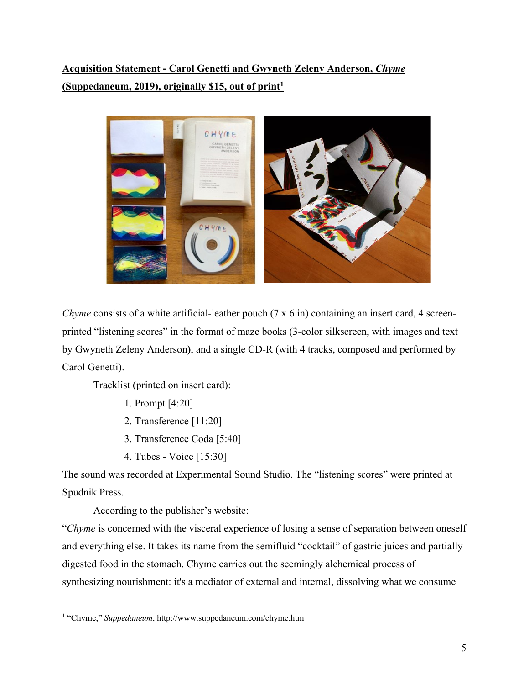**Acquisition Statement - Carol Genetti and Gwyneth Zeleny Anderson,** *Chyme* **(Suppedaneum, 2019), originally \$15, out of print1**



*Chyme* consists of a white artificial-leather pouch (7 x 6 in) containing an insert card, 4 screenprinted "listening scores" in the format of maze books (3-color silkscreen, with images and text by Gwyneth Zeleny Anderson**)**, and a single CD-R (with 4 tracks, composed and performed by Carol Genetti).

Tracklist (printed on insert card):

- 1. Prompt [4:20]
- 2. Transference [11:20]
- 3. Transference Coda [5:40]
- 4. Tubes Voice [15:30]

The sound was recorded at Experimental Sound Studio. The "listening scores" were printed at Spudnik Press.

According to the publisher's website:

"*Chyme* is concerned with the visceral experience of losing a sense of separation between oneself and everything else. It takes its name from the semifluid "cocktail" of gastric juices and partially digested food in the stomach. Chyme carries out the seemingly alchemical process of synthesizing nourishment: it's a mediator of external and internal, dissolving what we consume

<sup>1</sup> "Chyme," *Suppedaneum*, http://www.suppedaneum.com/chyme.htm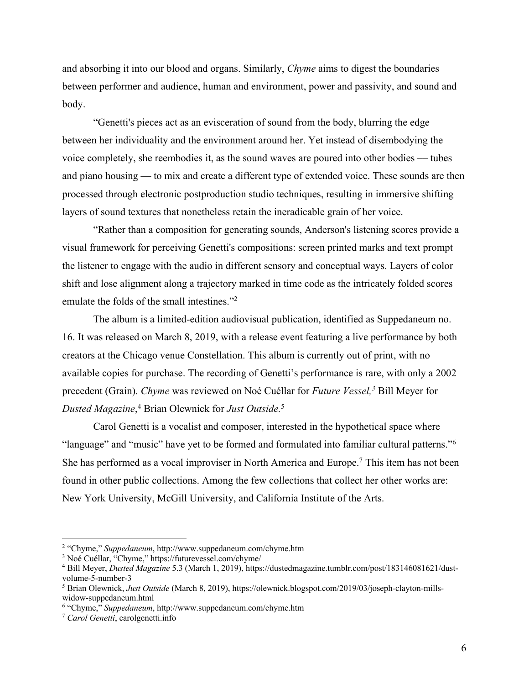and absorbing it into our blood and organs. Similarly, *Chyme* aims to digest the boundaries between performer and audience, human and environment, power and passivity, and sound and body.

"Genetti's pieces act as an evisceration of sound from the body, blurring the edge between her individuality and the environment around her. Yet instead of disembodying the voice completely, she reembodies it, as the sound waves are poured into other bodies –– tubes and piano housing — to mix and create a different type of extended voice. These sounds are then processed through electronic postproduction studio techniques, resulting in immersive shifting layers of sound textures that nonetheless retain the ineradicable grain of her voice.

"Rather than a composition for generating sounds, Anderson's listening scores provide a visual framework for perceiving Genetti's compositions: screen printed marks and text prompt the listener to engage with the audio in different sensory and conceptual ways. Layers of color shift and lose alignment along a trajectory marked in time code as the intricately folded scores emulate the folds of the small intestines."2

The album is a limited-edition audiovisual publication, identified as Suppedaneum no. 16. It was released on March 8, 2019, with a release event featuring a live performance by both creators at the Chicago venue Constellation. This album is currently out of print, with no available copies for purchase. The recording of Genetti's performance is rare, with only a 2002 precedent (Grain). *Chyme* was reviewed on Noé Cuéllar for *Future Vessel,3* Bill Meyer for *Dusted Magazine*, <sup>4</sup> Brian Olewnick for *Just Outside.*<sup>5</sup>

Carol Genetti is a vocalist and composer, interested in the hypothetical space where "language" and "music" have yet to be formed and formulated into familiar cultural patterns."6 She has performed as a vocal improviser in North America and Europe.<sup>7</sup> This item has not been found in other public collections. Among the few collections that collect her other works are: New York University, McGill University, and California Institute of the Arts.

<sup>2</sup> "Chyme," *Suppedaneum*, http://www.suppedaneum.com/chyme.htm

<sup>&</sup>lt;sup>3</sup> Noé Cuéllar, "Chyme," https://futurevessel.com/chyme/

<sup>4</sup> Bill Meyer, *Dusted Magazine* 5.3 (March 1, 2019), https://dustedmagazine.tumblr.com/post/183146081621/dustvolume-5-number-3

<sup>5</sup> Brian Olewnick, *Just Outside* (March 8, 2019), https://olewnick.blogspot.com/2019/03/joseph-clayton-millswidow-suppedaneum.html

<sup>6</sup> "Chyme," *Suppedaneum*, http://www.suppedaneum.com/chyme.htm

<sup>7</sup> *Carol Genetti*, carolgenetti.info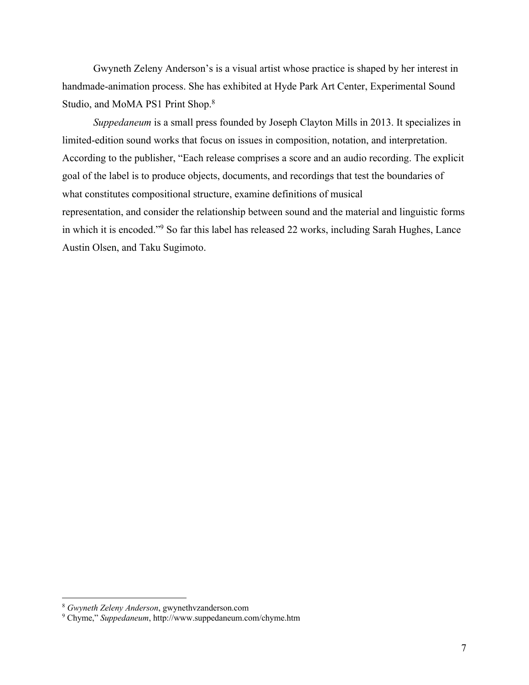Gwyneth Zeleny Anderson's is a visual artist whose practice is shaped by her interest in handmade-animation process. She has exhibited at Hyde Park Art Center, Experimental Sound Studio, and MoMA PS1 Print Shop.8

*Suppedaneum* is a small press founded by Joseph Clayton Mills in 2013. It specializes in limited-edition sound works that focus on issues in composition, notation, and interpretation. According to the publisher, "Each release comprises a score and an audio recording. The explicit goal of the label is to produce objects, documents, and recordings that test the boundaries of what constitutes compositional structure, examine definitions of musical representation, and consider the relationship between sound and the material and linguistic forms in which it is encoded."9 So far this label has released 22 works, including Sarah Hughes, Lance Austin Olsen, and Taku Sugimoto.

<sup>8</sup> *Gwyneth Zeleny Anderson*, gwynethvzanderson.com

<sup>9</sup> Chyme," *Suppedaneum*, http://www.suppedaneum.com/chyme.htm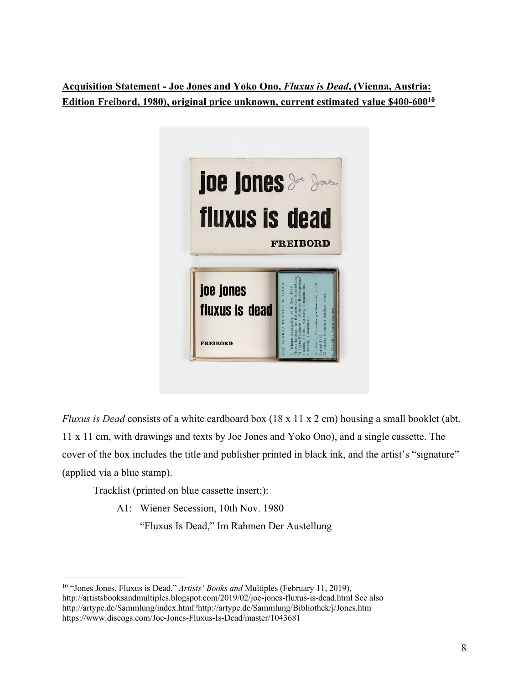**Acquisition Statement - Joe Jones and Yoko Ono,** *Fluxus is Dead***, (Vienna, Austria: Edition Freibord, 1980), original price unknown, current estimated value \$400-60010**



*Fluxus is Dead* consists of a white cardboard box (18 x 11 x 2 cm) housing a small booklet (abt. 11 x 11 cm, with drawings and texts by Joe Jones and Yoko Ono), and a single cassette. The cover of the box includes the title and publisher printed in black ink, and the artist's "signature" (applied via a blue stamp).

Tracklist (printed on blue cassette insert;):

A1: Wiener Secession, 10th Nov. 1980

"Fluxus Is Dead," Im Rahmen Der Austellung

<sup>10</sup> "Jones Jones, Fluxus is Dead," *Artists' Books and* Multiples (February 11, 2019), http://artistsbooksandmultiples.blogspot.com/2019/02/joe-jones-fluxus-is-dead.html See also http://artype.de/Sammlung/index.html?http://artype.de/Sammlung/Bibliothek/j/Jones.htm https://www.discogs.com/Joe-Jones-Fluxus-Is-Dead/master/1043681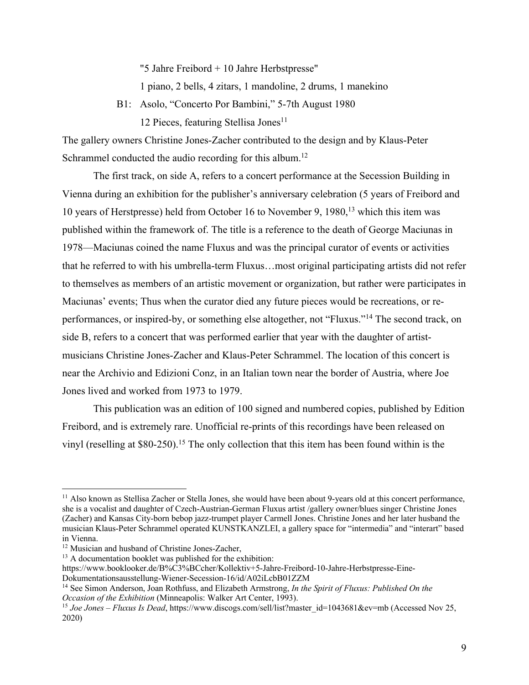"5 Jahre Freibord + 10 Jahre Herbstpresse"

1 piano, 2 bells, 4 zitars, 1 mandoline, 2 drums, 1 manekino

B1: Asolo, "Concerto Por Bambini," 5-7th August 1980 12 Pieces, featuring Stellisa Jones<sup>11</sup>

The gallery owners Christine Jones-Zacher contributed to the design and by Klaus-Peter Schrammel conducted the audio recording for this album.<sup>12</sup>

The first track, on side A, refers to a concert performance at the Secession Building in Vienna during an exhibition for the publisher's anniversary celebration (5 years of Freibord and 10 years of Herstpresse) held from October 16 to November 9, 1980,13 which this item was published within the framework of. The title is a reference to the death of George Maciunas in 1978—Maciunas coined the name Fluxus and was the principal curator of events or activities that he referred to with his umbrella-term Fluxus…most original participating artists did not refer to themselves as members of an artistic movement or organization, but rather were participates in Maciunas' events; Thus when the curator died any future pieces would be recreations, or reperformances, or inspired-by, or something else altogether, not "Fluxus."14 The second track, on side B, refers to a concert that was performed earlier that year with the daughter of artistmusicians Christine Jones-Zacher and Klaus-Peter Schrammel. The location of this concert is near the Archivio and Edizioni Conz, in an Italian town near the border of Austria, where Joe Jones lived and worked from 1973 to 1979.

This publication was an edition of 100 signed and numbered copies, published by Edition Freibord, and is extremely rare. Unofficial re-prints of this recordings have been released on vinyl (reselling at \$80-250). <sup>15</sup> The only collection that this item has been found within is the

<sup>&</sup>lt;sup>11</sup> Also known as Stellisa Zacher or Stella Jones, she would have been about 9-years old at this concert performance, she is a vocalist and daughter of Czech-Austrian-German Fluxus artist /gallery owner/blues singer Christine Jones (Zacher) and Kansas City-born bebop jazz-trumpet player Carmell Jones. Christine Jones and her later husband the musician Klaus-Peter Schrammel operated KUNSTKANZLEI, a gallery space for "intermedia" and "interart" based in Vienna.<br><sup>12</sup> Musician and husband of Christine Jones-Zacher.

 $13$  A documentation booklet was published for the exhibition:

https://www.booklooker.de/B%C3%BCcher/Kollektiv+5-Jahre-Freibord-10-Jahre-Herbstpresse-Eine-

Dokumentationsausstellung-Wiener-Secession-16/id/A02iLcbB01ZZM

<sup>14</sup> See Simon Anderson, Joan Rothfuss, and Elizabeth Armstrong, *In the Spirit of Fluxus: Published On the Occasion of the Exhibition* (Minneapolis: Walker Art Center, 1993).<br><sup>15</sup> *Joe Jones – Fluxus Is Dead*, https://www.discogs.com/sell/list?master\_id=1043681&ev=mb (Accessed Nov 25,

<sup>2020)</sup>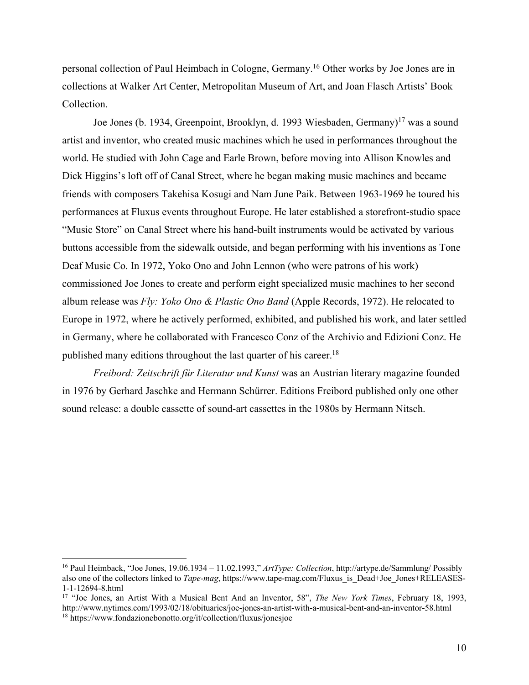personal collection of Paul Heimbach in Cologne, Germany.16 Other works by Joe Jones are in collections at Walker Art Center, Metropolitan Museum of Art, and Joan Flasch Artists' Book Collection.

Joe Jones (b. 1934, Greenpoint, Brooklyn, d. 1993 Wiesbaden, Germany)<sup>17</sup> was a sound artist and inventor, who created music machines which he used in performances throughout the world. He studied with John Cage and Earle Brown, before moving into Allison Knowles and Dick Higgins's loft off of Canal Street, where he began making music machines and became friends with composers Takehisa Kosugi and Nam June Paik. Between 1963-1969 he toured his performances at Fluxus events throughout Europe. He later established a storefront-studio space "Music Store" on Canal Street where his hand-built instruments would be activated by various buttons accessible from the sidewalk outside, and began performing with his inventions as Tone Deaf Music Co. In 1972, Yoko Ono and John Lennon (who were patrons of his work) commissioned Joe Jones to create and perform eight specialized music machines to her second album release was *Fly: Yoko Ono & Plastic Ono Band* (Apple Records, 1972). He relocated to Europe in 1972, where he actively performed, exhibited, and published his work, and later settled in Germany, where he collaborated with Francesco Conz of the Archivio and Edizioni Conz. He published many editions throughout the last quarter of his career.18

*Freibord: Zeitschrift für Literatur und Kunst* was an Austrian literary magazine founded in 1976 by Gerhard Jaschke and Hermann Schürrer. Editions Freibord published only one other sound release: a double cassette of sound-art cassettes in the 1980s by Hermann Nitsch.

<sup>16</sup> Paul Heimback, "Joe Jones, 19.06.1934 – 11.02.1993," *ArtType: Collection*, http://artype.de/Sammlung/ Possibly also one of the collectors linked to *Tape-mag*, https://www.tape-mag.com/Fluxus\_is\_Dead+Joe\_Jones+RELEASES-1-1-12694-8.html

<sup>17</sup> "Joe Jones, an Artist With a Musical Bent And an Inventor, 58", *The New York Times*, February 18, 1993, http://www.nytimes.com/1993/02/18/obituaries/joe-jones-an-artist-with-a-musical-bent-and-an-inventor-58.html <sup>18</sup> https://www.fondazionebonotto.org/it/collection/fluxus/jonesjoe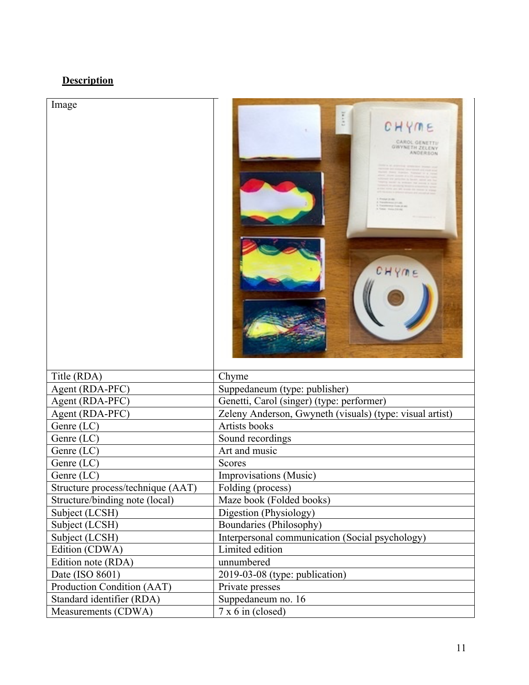## **Description**

| Image                             | CHYME<br>CAROL GENETTI<br><b>GWYNETH ZELENY</b>          |
|-----------------------------------|----------------------------------------------------------|
|                                   |                                                          |
| Title (RDA)                       | Chyme                                                    |
| Agent (RDA-PFC)                   | Suppedaneum (type: publisher)                            |
| Agent (RDA-PFC)                   | Genetti, Carol (singer) (type: performer)                |
| Agent (RDA-PFC)                   | Zeleny Anderson, Gwyneth (visuals) (type: visual artist) |
| Genre (LC)                        | <b>Artists books</b>                                     |
| Genre (LC)                        | Sound recordings                                         |
| Genre $(LC)$                      | Art and music                                            |
| Genre (LC)                        | <b>Scores</b>                                            |
| Genre (LC)                        | Improvisations (Music)                                   |
| Structure process/technique (AAT) | Folding (process)                                        |
| Structure/binding note (local)    | Maze book (Folded books)                                 |
| Subject (LCSH)                    | Digestion (Physiology)                                   |
| Subject (LCSH)                    | Boundaries (Philosophy)                                  |
| Subject (LCSH)                    | Interpersonal communication (Social psychology)          |
| Edition (CDWA)                    | Limited edition                                          |
| Edition note (RDA)                | unnumbered                                               |
| Date (ISO 8601)                   | 2019-03-08 (type: publication)                           |
| Production Condition (AAT)        | Private presses                                          |
| Standard identifier (RDA)         |                                                          |
| Measurements (CDWA)               | Suppedaneum no. 16<br>$7x 6$ in (closed)                 |